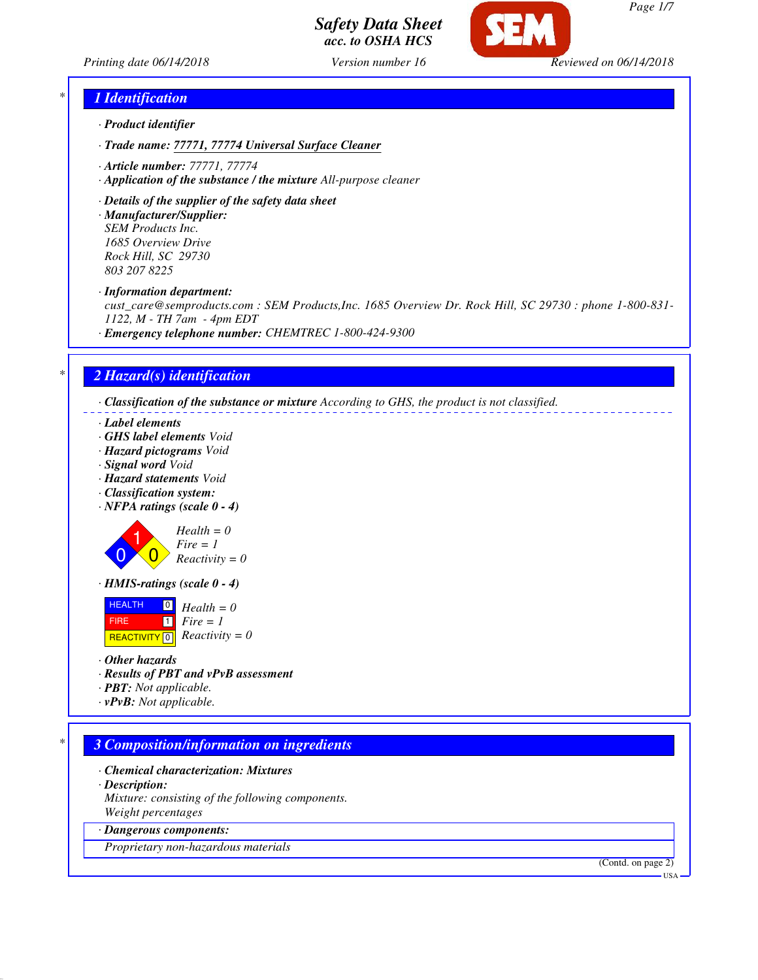



## *\* 1 Identification*

- *· Product identifier*
- *· Trade name: 77771, 77774 Universal Surface Cleaner*
- *· Article number: 77771, 77774*
- *· Application of the substance / the mixture All-purpose cleaner*
- *· Details of the supplier of the safety data sheet*

*· Manufacturer/Supplier: SEM Products Inc. 1685 Overview Drive Rock Hill, SC 29730 803 207 8225*

*· Information department:*

*cust\_care@semproducts.com : SEM Products,Inc. 1685 Overview Dr. Rock Hill, SC 29730 : phone 1-800-831- 1122, M - TH 7am - 4pm EDT*

*· Emergency telephone number: CHEMTREC 1-800-424-9300*

## *\* 2 Hazard(s) identification*

*· Classification of the substance or mixture According to GHS, the product is not classified.*

- *· Label elements*
- *· GHS label elements Void*
- *· Hazard pictograms Void*
- *· Signal word Void*
- *· Hazard statements Void*
- *· Classification system:*
- *· NFPA ratings (scale 0 4)*

$$
\begin{array}{c}\n\text{Hea} \\
\text{B1} \\
\text{B2} \\
\text{Bea}\n\end{array}
$$

 $\blacktriangle$ 

 $d$ *H<sub>n</sub>* = 0<sup>*m*</sup>  $= 1$  $\chi$ *ctivity = 0* 

*· HMIS-ratings (scale 0 - 4)*

**HEALTH**  FIRE  $R$ **REACTIVITY**  $\boxed{0}$  *Reactivity* = 0  $\boxed{0}$ 1 *Fire = 1 Health = 0*

- *· Other hazards*
- *· Results of PBT and vPvB assessment*
- *· PBT: Not applicable.*
- *· vPvB: Not applicable.*

# *\* 3 Composition/information on ingredients*

- *· Chemical characterization: Mixtures*
- *· Description:*

*Mixture: consisting of the following components. Weight percentages*

*· Dangerous components:*

*Proprietary non-hazardous materials*

(Contd. on page 2)

*Page 1/7*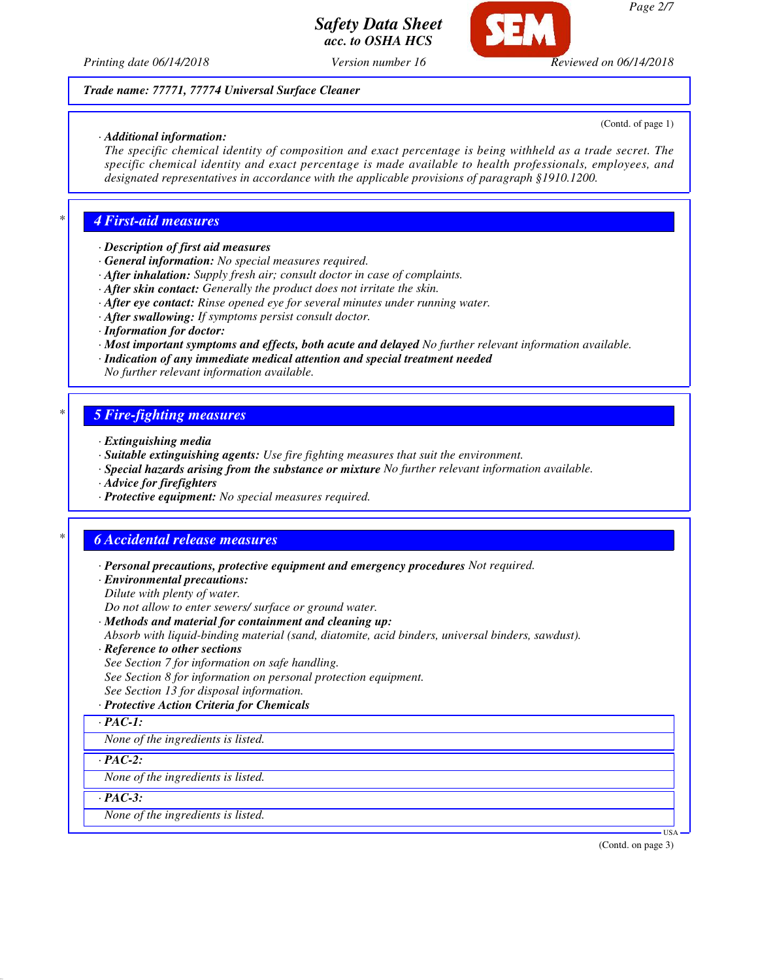

*Printing date 06/14/2018 Version number 16 Reviewed on 06/14/2018*

#### *Trade name: 77771, 77774 Universal Surface Cleaner*

#### *· Additional information:*

(Contd. of page 1)

*The specific chemical identity of composition and exact percentage is being withheld as a trade secret. The specific chemical identity and exact percentage is made available to health professionals, employees, and designated representatives in accordance with the applicable provisions of paragraph §1910.1200.*

#### *\* 4 First-aid measures*

- *· Description of first aid measures*
- *· General information: No special measures required.*
- *· After inhalation: Supply fresh air; consult doctor in case of complaints.*
- *· After skin contact: Generally the product does not irritate the skin.*
- *· After eye contact: Rinse opened eye for several minutes under running water.*
- *· After swallowing: If symptoms persist consult doctor.*
- *· Information for doctor:*
- *· Most important symptoms and effects, both acute and delayed No further relevant information available.*
- *· Indication of any immediate medical attention and special treatment needed*
- *No further relevant information available.*

#### *\* 5 Fire-fighting measures*

- *· Extinguishing media*
- *· Suitable extinguishing agents: Use fire fighting measures that suit the environment.*
- *· Special hazards arising from the substance or mixture No further relevant information available.*
- *· Advice for firefighters*
- *· Protective equipment: No special measures required.*

#### *\* 6 Accidental release measures*

*· Personal precautions, protective equipment and emergency procedures Not required.*

*· Environmental precautions:*

*Dilute with plenty of water.*

*Do not allow to enter sewers/ surface or ground water.*

*· Methods and material for containment and cleaning up:*

*Absorb with liquid-binding material (sand, diatomite, acid binders, universal binders, sawdust).*

- *· Reference to other sections*
- *See Section 7 for information on safe handling.*
- *See Section 8 for information on personal protection equipment.*
- *See Section 13 for disposal information.*

#### *· Protective Action Criteria for Chemicals*

*· PAC-1:*

*None of the ingredients is listed.*

*· PAC-2:*

*None of the ingredients is listed.*

*· PAC-3:*

*None of the ingredients is listed.*

(Contd. on page 3)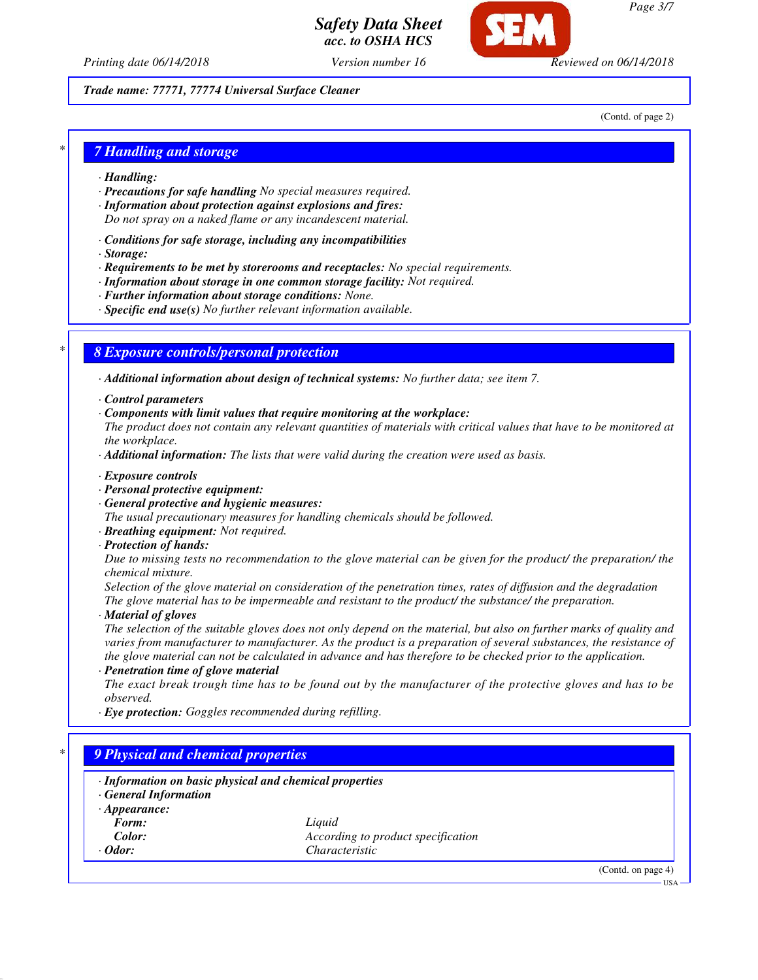*Printing date 06/14/2018 Version number 16 Reviewed on 06/14/2018*

*Trade name: 77771, 77774 Universal Surface Cleaner*

(Contd. of page 2)

#### *\* 7 Handling and storage*

- *· Handling:*
- *· Precautions for safe handling No special measures required.*
- *· Information about protection against explosions and fires: Do not spray on a naked flame or any incandescent material.*
- *· Conditions for safe storage, including any incompatibilities*
- *· Storage:*
- *· Requirements to be met by storerooms and receptacles: No special requirements.*
- *· Information about storage in one common storage facility: Not required.*
- *· Further information about storage conditions: None.*
- *· Specific end use(s) No further relevant information available.*

## *\* 8 Exposure controls/personal protection*

- *· Additional information about design of technical systems: No further data; see item 7.*
- *· Control parameters*
- *· Components with limit values that require monitoring at the workplace:*

*The product does not contain any relevant quantities of materials with critical values that have to be monitored at the workplace.*

- *· Additional information: The lists that were valid during the creation were used as basis.*
- *· Exposure controls*
- *· Personal protective equipment:*
- *· General protective and hygienic measures:*

*The usual precautionary measures for handling chemicals should be followed.*

- *· Breathing equipment: Not required.*
- *· Protection of hands:*

*Due to missing tests no recommendation to the glove material can be given for the product/ the preparation/ the chemical mixture.*

*Selection of the glove material on consideration of the penetration times, rates of diffusion and the degradation The glove material has to be impermeable and resistant to the product/ the substance/ the preparation.*

*· Material of gloves*

*The selection of the suitable gloves does not only depend on the material, but also on further marks of quality and varies from manufacturer to manufacturer. As the product is a preparation of several substances, the resistance of the glove material can not be calculated in advance and has therefore to be checked prior to the application.*

*· Penetration time of glove material*

*The exact break trough time has to be found out by the manufacturer of the protective gloves and has to be observed.*

*· Eye protection: Goggles recommended during refilling.*

## *\* 9 Physical and chemical properties*

*· Information on basic physical and chemical properties · General Information · Appearance: Form: Liquid Color: According to product specification Odor: Characteristic* 

(Contd. on page 4)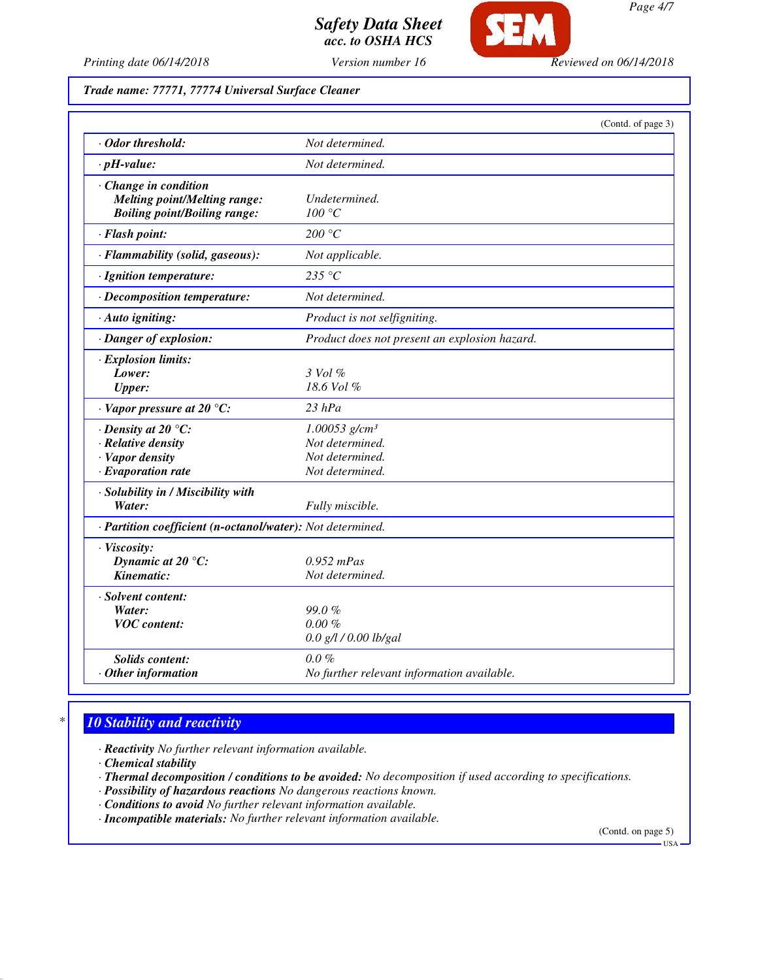

*Printing date 06/14/2018 Version number 16 Reviewed on 06/14/2018*

## *Trade name: 77771, 77774 Universal Surface Cleaner*

|                                                                                                     | (Contd. of page 3)                                                                   |
|-----------------------------------------------------------------------------------------------------|--------------------------------------------------------------------------------------|
| · Odor threshold:                                                                                   | Not determined.                                                                      |
| $\cdot$ pH-value:                                                                                   | Not determined.                                                                      |
| · Change in condition<br><b>Melting point/Melting range:</b><br><b>Boiling point/Boiling range:</b> | Undetermined.<br>100 °C                                                              |
| · Flash point:                                                                                      | 200 °C                                                                               |
| · Flammability (solid, gaseous):                                                                    | Not applicable.                                                                      |
| · Ignition temperature:                                                                             | 235 $\degree$ C                                                                      |
| · Decomposition temperature:                                                                        | Not determined.                                                                      |
| · Auto igniting:                                                                                    | Product is not selfigniting.                                                         |
| · Danger of explosion:                                                                              | Product does not present an explosion hazard.                                        |
| · Explosion limits:<br>Lower:<br><b>Upper:</b>                                                      | $3$ Vol $\%$<br>18.6 Vol %                                                           |
| $\cdot$ Vapor pressure at 20 °C:                                                                    | $23$ hPa                                                                             |
| $\cdot$ Density at 20 °C:<br>· Relative density<br>· Vapor density<br>$\cdot$ Evaporation rate      | $1.00053$ g/cm <sup>3</sup><br>Not determined.<br>Not determined.<br>Not determined. |
| · Solubility in / Miscibility with<br>Water:                                                        | Fully miscible.                                                                      |
| · Partition coefficient (n-octanol/water): Not determined.                                          |                                                                                      |
| · Viscosity:<br>Dynamic at $20^{\circ}$ C:<br>Kinematic:                                            | $0.952$ mPas<br>Not determined.                                                      |
| · Solvent content:<br>Water:<br><b>VOC</b> content:                                                 | 99.0%<br>$0.00 \%$<br>0.0 g/l / 0.00 lb/gal                                          |
| <b>Solids content:</b><br>$\cdot$ Other information                                                 | $0.0 \%$<br>No further relevant information available.                               |

# *\* 10 Stability and reactivity*

- *· Reactivity No further relevant information available.*
- *· Chemical stability*
- *· Thermal decomposition / conditions to be avoided: No decomposition if used according to specifications.*
- *· Possibility of hazardous reactions No dangerous reactions known.*
- *· Conditions to avoid No further relevant information available.*
- *· Incompatible materials: No further relevant information available.*

(Contd. on page 5)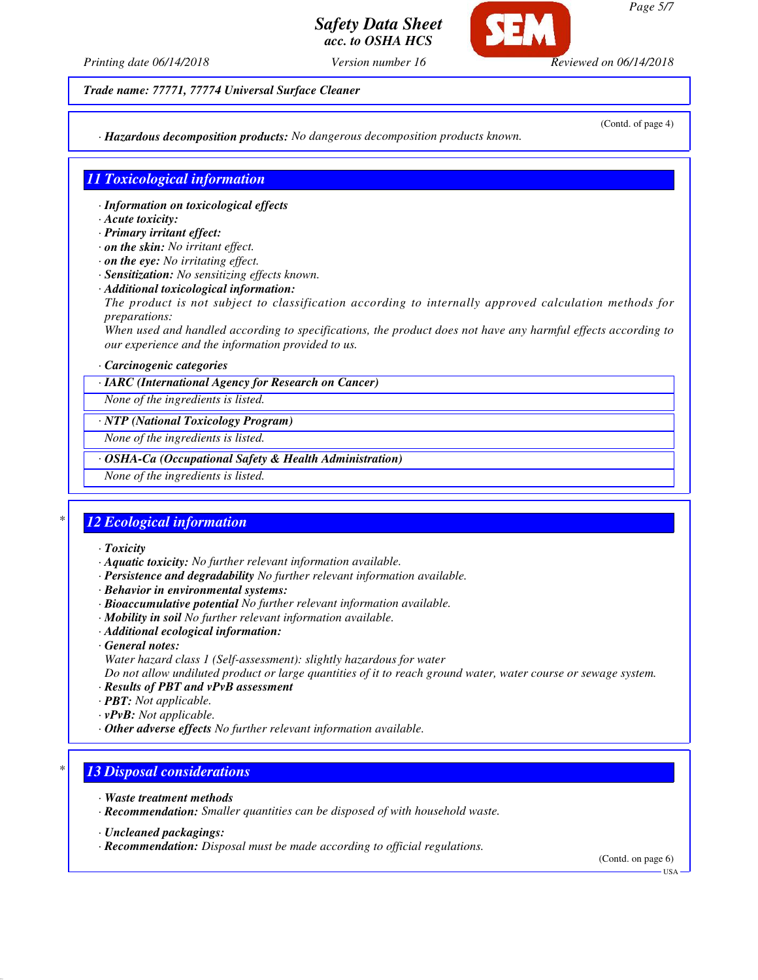*Page 5/7*

## *Safety Data Sheet acc. to OSHA HCS*

*Printing date 06/14/2018 Version number 16 Reviewed on 06/14/2018*

*Trade name: 77771, 77774 Universal Surface Cleaner*

(Contd. of page 4)

*· Hazardous decomposition products: No dangerous decomposition products known.*

#### *11 Toxicological information*

- *· Information on toxicological effects*
- *· Acute toxicity:*
- *· Primary irritant effect:*
- *· on the skin: No irritant effect.*
- *· on the eye: No irritating effect.*
- *· Sensitization: No sensitizing effects known.*
- *· Additional toxicological information: The product is not subject to classification according to internally approved calculation methods for preparations:*

*When used and handled according to specifications, the product does not have any harmful effects according to our experience and the information provided to us.*

#### *· Carcinogenic categories*

#### *· IARC (International Agency for Research on Cancer)*

*None of the ingredients is listed.*

#### *· NTP (National Toxicology Program)*

*None of the ingredients is listed.*

#### *· OSHA-Ca (Occupational Safety & Health Administration)*

*None of the ingredients is listed.*

## *\* 12 Ecological information*

*· Toxicity*

- *· Aquatic toxicity: No further relevant information available.*
- *· Persistence and degradability No further relevant information available.*
- *· Behavior in environmental systems:*
- *· Bioaccumulative potential No further relevant information available.*
- *· Mobility in soil No further relevant information available.*
- *· Additional ecological information:*
- *· General notes:*
- *Water hazard class 1 (Self-assessment): slightly hazardous for water*

*Do not allow undiluted product or large quantities of it to reach ground water, water course or sewage system.*

- *· Results of PBT and vPvB assessment*
- *· PBT: Not applicable.*
- *· vPvB: Not applicable.*
- *· Other adverse effects No further relevant information available.*

#### *\* 13 Disposal considerations*

- *· Waste treatment methods*
- *· Recommendation: Smaller quantities can be disposed of with household waste.*

*· Recommendation: Disposal must be made according to official regulations.*

(Contd. on page 6)

*<sup>·</sup> Uncleaned packagings:*

USA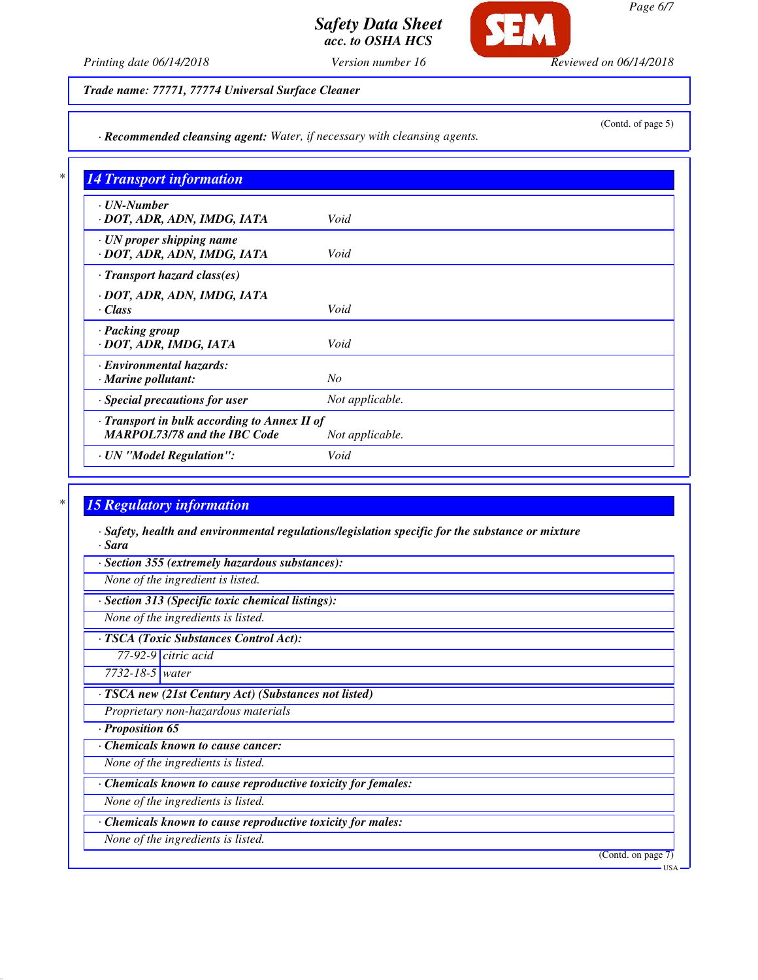*Page 6/7*

(Contd. of page 5)

# *Safety Data Sheet acc. to OSHA HCS*

*Printing date 06/14/2018 Version number 16 Reviewed on 06/14/2018*

SFM

*Trade name: 77771, 77774 Universal Surface Cleaner*

*· Recommended cleansing agent: Water, if necessary with cleansing agents.*

| <b>14 Transport information</b>                                                     |                 |
|-------------------------------------------------------------------------------------|-----------------|
| $\cdot$ UN-Number<br>· DOT, ADR, ADN, IMDG, IATA                                    | Void            |
| $\cdot$ UN proper shipping name<br>· DOT, ADR, ADN, IMDG, IATA                      | Void            |
| $\cdot$ Transport hazard class(es)                                                  |                 |
| · DOT, ADR, ADN, IMDG, IATA<br>· Class                                              | Void            |
| · Packing group<br>· DOT, ADR, IMDG, IATA                                           | Void            |
| · Environmental hazards:<br>$\cdot$ Marine pollutant:                               | No              |
| · Special precautions for user                                                      | Not applicable. |
| · Transport in bulk according to Annex II of<br><b>MARPOL73/78 and the IBC Code</b> | Not applicable. |
| · UN "Model Regulation":                                                            | Void            |

# *\* 15 Regulatory information*

*· Safety, health and environmental regulations/legislation specific for the substance or mixture · Sara*

*· Section 355 (extremely hazardous substances):*

*None of the ingredient is listed.*

*· Section 313 (Specific toxic chemical listings):*

*None of the ingredients is listed.*

*· TSCA (Toxic Substances Control Act):*

*77-92-9 citric acid*

*7732-18-5 water*

*· TSCA new (21st Century Act) (Substances not listed)*

*Proprietary non-hazardous materials*

*· Proposition 65*

*· Chemicals known to cause cancer:*

*None of the ingredients is listed.*

*· Chemicals known to cause reproductive toxicity for females:*

*None of the ingredients is listed.*

*· Chemicals known to cause reproductive toxicity for males:*

*None of the ingredients is listed.*

(Contd. on page 7)

USA